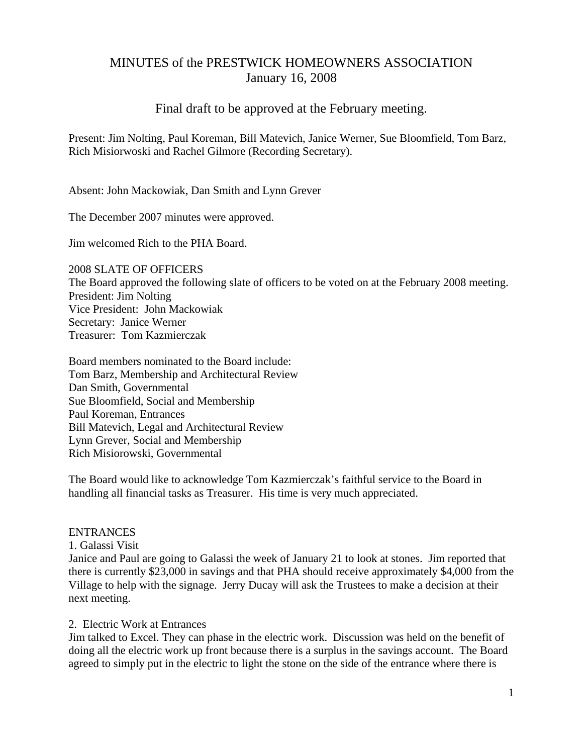# MINUTES of the PRESTWICK HOMEOWNERS ASSOCIATION January 16, 2008

## Final draft to be approved at the February meeting.

Present: Jim Nolting, Paul Koreman, Bill Matevich, Janice Werner, Sue Bloomfield, Tom Barz, Rich Misiorwoski and Rachel Gilmore (Recording Secretary).

Absent: John Mackowiak, Dan Smith and Lynn Grever

The December 2007 minutes were approved.

Jim welcomed Rich to the PHA Board.

2008 SLATE OF OFFICERS The Board approved the following slate of officers to be voted on at the February 2008 meeting. President: Jim Nolting Vice President: John Mackowiak Secretary: Janice Werner Treasurer: Tom Kazmierczak

Board members nominated to the Board include: Tom Barz, Membership and Architectural Review Dan Smith, Governmental Sue Bloomfield, Social and Membership Paul Koreman, Entrances Bill Matevich, Legal and Architectural Review Lynn Grever, Social and Membership Rich Misiorowski, Governmental

The Board would like to acknowledge Tom Kazmierczak's faithful service to the Board in handling all financial tasks as Treasurer. His time is very much appreciated.

### ENTRANCES

1. Galassi Visit

Janice and Paul are going to Galassi the week of January 21 to look at stones. Jim reported that there is currently \$23,000 in savings and that PHA should receive approximately \$4,000 from the Village to help with the signage. Jerry Ducay will ask the Trustees to make a decision at their next meeting.

#### 2. Electric Work at Entrances

Jim talked to Excel. They can phase in the electric work. Discussion was held on the benefit of doing all the electric work up front because there is a surplus in the savings account. The Board agreed to simply put in the electric to light the stone on the side of the entrance where there is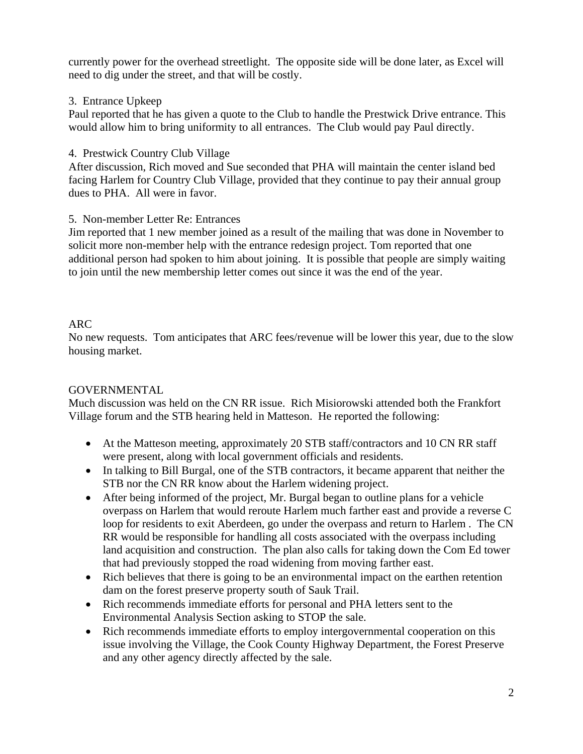currently power for the overhead streetlight. The opposite side will be done later, as Excel will need to dig under the street, and that will be costly.

### 3. Entrance Upkeep

Paul reported that he has given a quote to the Club to handle the Prestwick Drive entrance. This would allow him to bring uniformity to all entrances. The Club would pay Paul directly.

### 4. Prestwick Country Club Village

After discussion, Rich moved and Sue seconded that PHA will maintain the center island bed facing Harlem for Country Club Village, provided that they continue to pay their annual group dues to PHA. All were in favor.

### 5. Non-member Letter Re: Entrances

Jim reported that 1 new member joined as a result of the mailing that was done in November to solicit more non-member help with the entrance redesign project. Tom reported that one additional person had spoken to him about joining. It is possible that people are simply waiting to join until the new membership letter comes out since it was the end of the year.

### ARC

No new requests. Tom anticipates that ARC fees/revenue will be lower this year, due to the slow housing market.

### GOVERNMENTAL

Much discussion was held on the CN RR issue. Rich Misiorowski attended both the Frankfort Village forum and the STB hearing held in Matteson. He reported the following:

- At the Matteson meeting, approximately 20 STB staff/contractors and 10 CN RR staff were present, along with local government officials and residents.
- In talking to Bill Burgal, one of the STB contractors, it became apparent that neither the STB nor the CN RR know about the Harlem widening project.
- After being informed of the project, Mr. Burgal began to outline plans for a vehicle overpass on Harlem that would reroute Harlem much farther east and provide a reverse C loop for residents to exit Aberdeen, go under the overpass and return to Harlem . The CN RR would be responsible for handling all costs associated with the overpass including land acquisition and construction. The plan also calls for taking down the Com Ed tower that had previously stopped the road widening from moving farther east.
- Rich believes that there is going to be an environmental impact on the earthen retention dam on the forest preserve property south of Sauk Trail.
- Rich recommends immediate efforts for personal and PHA letters sent to the Environmental Analysis Section asking to STOP the sale.
- Rich recommends immediate efforts to employ intergovernmental cooperation on this issue involving the Village, the Cook County Highway Department, the Forest Preserve and any other agency directly affected by the sale.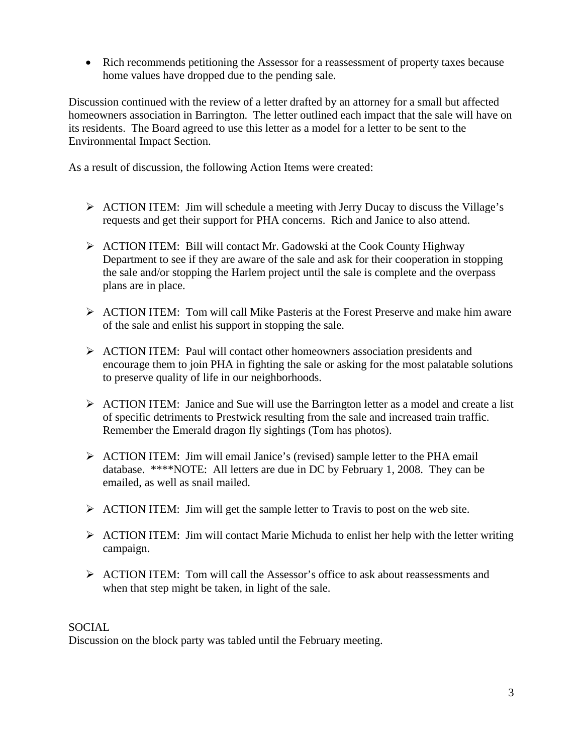• Rich recommends petitioning the Assessor for a reassessment of property taxes because home values have dropped due to the pending sale.

Discussion continued with the review of a letter drafted by an attorney for a small but affected homeowners association in Barrington. The letter outlined each impact that the sale will have on its residents. The Board agreed to use this letter as a model for a letter to be sent to the Environmental Impact Section.

As a result of discussion, the following Action Items were created:

- ¾ ACTION ITEM: Jim will schedule a meeting with Jerry Ducay to discuss the Village's requests and get their support for PHA concerns. Rich and Janice to also attend.
- ¾ ACTION ITEM: Bill will contact Mr. Gadowski at the Cook County Highway Department to see if they are aware of the sale and ask for their cooperation in stopping the sale and/or stopping the Harlem project until the sale is complete and the overpass plans are in place.
- $\triangleright$  ACTION ITEM: Tom will call Mike Pasteris at the Forest Preserve and make him aware of the sale and enlist his support in stopping the sale.
- ¾ ACTION ITEM: Paul will contact other homeowners association presidents and encourage them to join PHA in fighting the sale or asking for the most palatable solutions to preserve quality of life in our neighborhoods.
- ¾ ACTION ITEM: Janice and Sue will use the Barrington letter as a model and create a list of specific detriments to Prestwick resulting from the sale and increased train traffic. Remember the Emerald dragon fly sightings (Tom has photos).
- ¾ ACTION ITEM: Jim will email Janice's (revised) sample letter to the PHA email database. \*\*\*\*NOTE: All letters are due in DC by February 1, 2008. They can be emailed, as well as snail mailed.
- $\triangleright$  ACTION ITEM: Jim will get the sample letter to Travis to post on the web site.
- $\triangleright$  ACTION ITEM: Jim will contact Marie Michuda to enlist her help with the letter writing campaign.
- ¾ ACTION ITEM: Tom will call the Assessor's office to ask about reassessments and when that step might be taken, in light of the sale.

### SOCIAL

Discussion on the block party was tabled until the February meeting.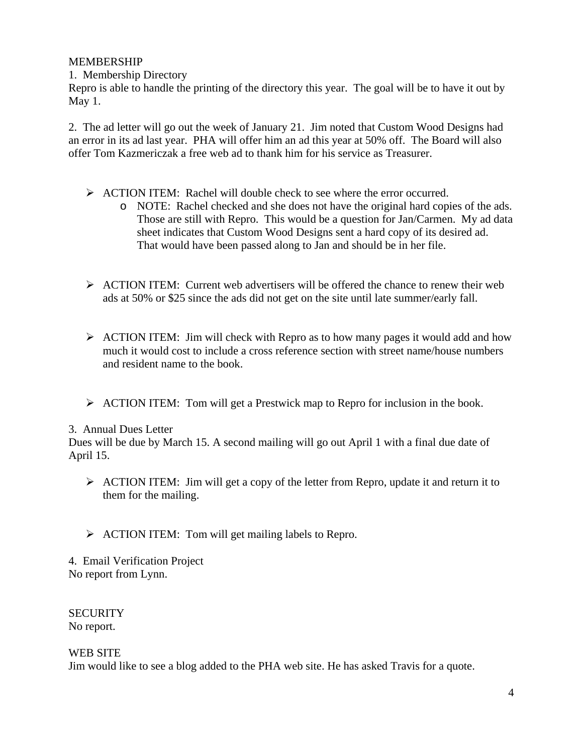### MEMBERSHIP

1. Membership Directory

Repro is able to handle the printing of the directory this year. The goal will be to have it out by May 1.

2. The ad letter will go out the week of January 21. Jim noted that Custom Wood Designs had an error in its ad last year. PHA will offer him an ad this year at 50% off. The Board will also offer Tom Kazmericzak a free web ad to thank him for his service as Treasurer.

- $\triangleright$  ACTION ITEM: Rachel will double check to see where the error occurred.
	- o NOTE: Rachel checked and she does not have the original hard copies of the ads. Those are still with Repro. This would be a question for Jan/Carmen. My ad data sheet indicates that Custom Wood Designs sent a hard copy of its desired ad. That would have been passed along to Jan and should be in her file.
- $\triangleright$  ACTION ITEM: Current web advertisers will be offered the chance to renew their web ads at 50% or \$25 since the ads did not get on the site until late summer/early fall.
- $\triangleright$  ACTION ITEM: Jim will check with Repro as to how many pages it would add and how much it would cost to include a cross reference section with street name/house numbers and resident name to the book.
- ¾ ACTION ITEM: Tom will get a Prestwick map to Repro for inclusion in the book.

### 3. Annual Dues Letter

Dues will be due by March 15. A second mailing will go out April 1 with a final due date of April 15.

- ¾ ACTION ITEM: Jim will get a copy of the letter from Repro, update it and return it to them for the mailing.
- $\triangleright$  ACTION ITEM: Tom will get mailing labels to Repro.

4. Email Verification Project No report from Lynn.

**SECURITY** No report.

### WEB SITE

Jim would like to see a blog added to the PHA web site. He has asked Travis for a quote.